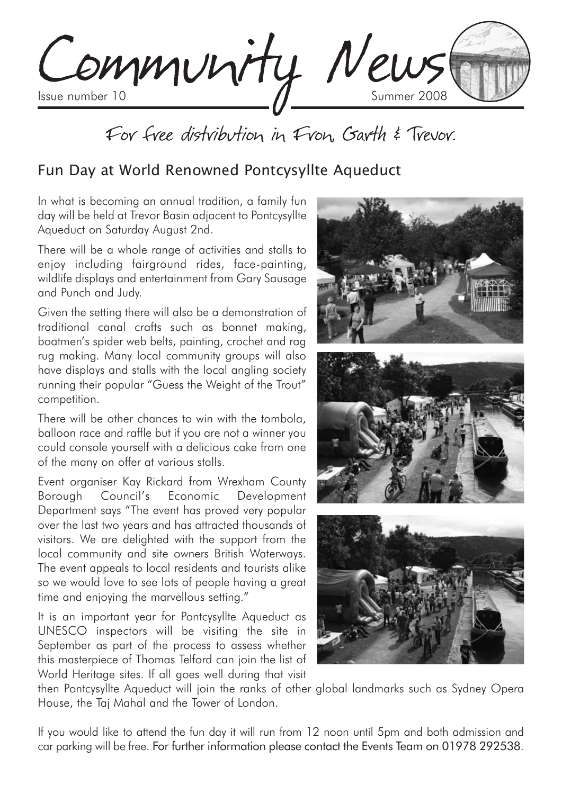Community News

# For free distribution in Fron. Garth & Trevor.

## Fun Day at World Renowned Pontcysyllte Aqueduct

In what is becoming an annual tradition, a family fun day will be held at Trevor Basin adjacent to Pontcysyllte Aqueduct on Saturday August 2nd.

There will be a whole range of activities and stalls to enjoy including fairground rides, face-painting, wildlife displays and entertainment from Gary Sausage and Punch and Judy.

Given the setting there will also be a demonstration of traditional canal crafts such as bonnet making, boatmen's spider web belts, painting, crochet and rag rug making. Many local community groups will also have displays and stalls with the local angling society running their popular "Guess the Weight of the Trout" competition.

There will be other chances to win with the tombola, balloon race and raffle but if you are not a winner you could console yourself with a delicious cake from one of the many on offer at various stalls.

Event organiser Kay Rickard from Wrexham County Borough Council's Economic Development Department says "The event has proved very popular over the last two years and has attracted thousands of visitors. We are delighted with the support from the local community and site owners British Waterways. The event appeals to local residents and tourists alike so we would love to see lots of people having a great time and enjoying the marvellous setting."

It is an important year for Pontcysyllte Aqueduct as UNESCO inspectors will be visiting the site in September as part of the process to assess whether this masterpiece of Thomas Telford can join the list of World Heritage sites. If all goes well during that visit



then Pontcysyllte Aqueduct will join the ranks of other global landmarks such as Sydney Opera House, the Taj Mahal and the Tower of London.

If you would like to attend the fun day it will run from 12 noon until 5pm and both admission and car parking will be free. For further information please contact the Events Team on 01978 292538.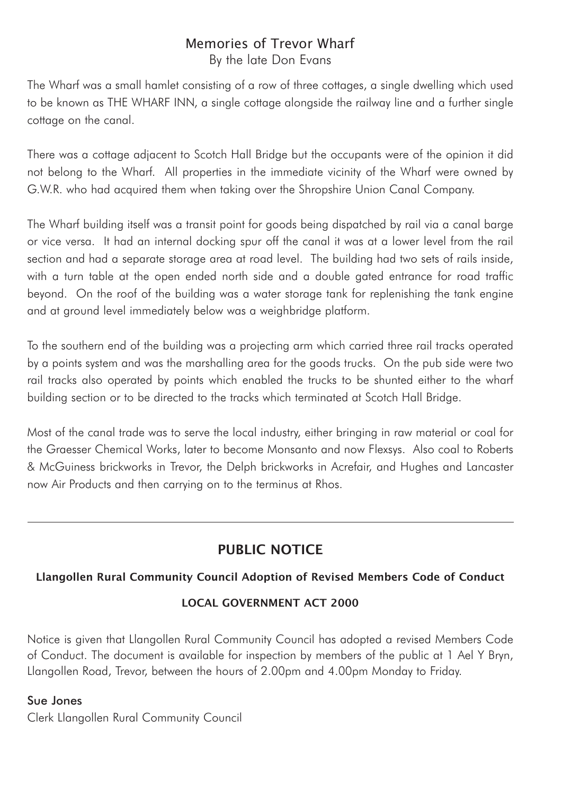### Memories of Trevor Wharf By the late Don Evans

The Wharf was a small hamlet consisting of a row of three cottages, a single dwelling which used to be known as THE WHARF INN, a single cottage alongside the railway line and a further single cottage on the canal.

There was a cottage adjacent to Scotch Hall Bridge but the occupants were of the opinion it did not belong to the Wharf. All properties in the immediate vicinity of the Wharf were owned by G.W.R. who had acquired them when taking over the Shropshire Union Canal Company.

The Wharf building itself was a transit point for goods being dispatched by rail via a canal barge or vice versa. It had an internal docking spur off the canal it was at a lower level from the rail section and had a separate storage area at road level. The building had two sets of rails inside, with a turn table at the open ended north side and a double gated entrance for road traffic beyond. On the roof of the building was a water storage tank for replenishing the tank engine and at ground level immediately below was a weighbridge platform.

To the southern end of the building was a projecting arm which carried three rail tracks operated by a points system and was the marshalling area for the goods trucks. On the pub side were two rail tracks also operated by points which enabled the trucks to be shunted either to the wharf building section or to be directed to the tracks which terminated at Scotch Hall Bridge.

Most of the canal trade was to serve the local industry, either bringing in raw material or coal for the Graesser Chemical Works, later to become Monsanto and now Flexsys. Also coal to Roberts & McGuiness brickworks in Trevor, the Delph brickworks in Acrefair, and Hughes and Lancaster now Air Products and then carrying on to the terminus at Rhos.

## **PUBLIC NOTICE**

### **Llangollen Rural Community Council Adoption of Revised Members Code of Conduct**

### **LOCAL GOVERNMENT ACT 2000**

Notice is given that Llangollen Rural Community Council has adopted a revised Members Code of Conduct. The document is available for inspection by members of the public at 1 Ael Y Bryn, Llangollen Road, Trevor, between the hours of 2.00pm and 4.00pm Monday to Friday.

### Sue Jones

Clerk Llangollen Rural Community Council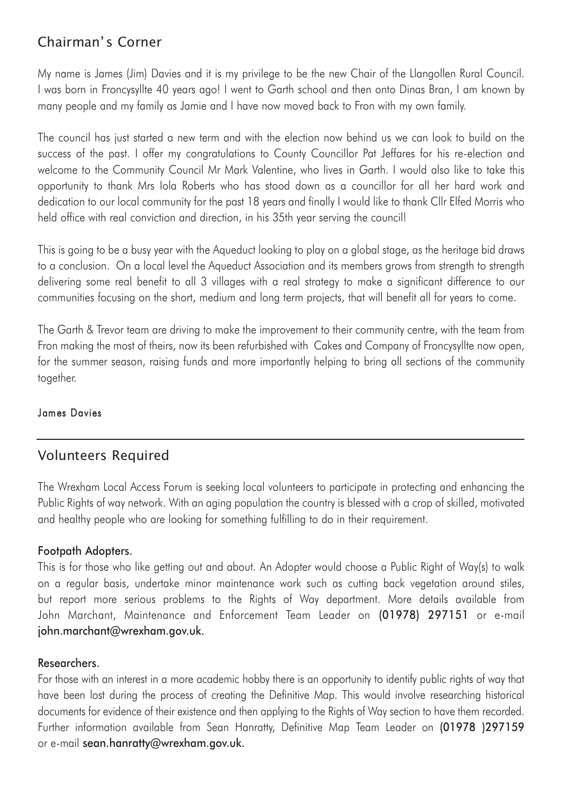## Chairman' s Corner

My name is James (Jim) Davies and it is my privilege to be the new Chair of the Llangollen Rural Council. I was born in Froncysyllte 40 years ago! I went to Garth school and then onto Dinas Bran, I am known by many people and my family as Jamie and I have now moved back to Fron with my own family.

The council has just started a new term and with the election now behind us we can look to build on the success of the past. I offer my congratulations to County Councillor Pat Jeffares for his re-election and welcome to the Community Council Mr Mark Valentine, who lives in Garth. I would also like to take this opportunity to thank Mrs Iola Roberts who has stood down as a councillor for all her hard work and dedication to our local community for the past 18 years and finally I would like to thank Cllr Elfed Morris who held office with real conviction and direction, in his 35th year serving the council!

This is going to be a busy year with the Aqueduct looking to play on a global stage, as the heritage bid draws to a conclusion. On a local level the Aqueduct Association and its members grows from strength to strength delivering some real benefit to all 3 villages with a real strategy to make a significant difference to our communities focusing on the short, medium and long term projects, that will benefit all for years to come.

The Garth & Trevor team are driving to make the improvement to their community centre, with the team from Fron making the most of theirs, now its been refurbished with Cakes and Company of Froncysyllte now open, for the summer season, raising funds and more importantly helping to bring all sections of the community together.

### James Davies

### Volunteers Required

The Wrexham Local Access Forum is seeking local volunteers to participate in protecting and enhancing the Public Rights of way network. With an aging population the country is blessed with a crop of skilled, motivated and healthy people who are looking for something fulfilling to do in their requirement.

#### Footpath Adopters.

This is for those who like getting out and about. An Adopter would choose a Public Right of Way(s) to walk on a regular basis, undertake minor maintenance work such as cutting back vegetation around stiles, but report more serious problems to the Rights of Way department. More details available from John Marchant, Maintenance and Enforcement Team Leader on (01978) 297151 or e-mail john.marchant@wrexham.gov.uk.

#### Researchers.

For those with an interest in a more academic hobby there is an opportunity to identify public rights of way that have been lost during the process of creating the Definitive Map. This would involve researching historical documents for evidence of their existence and then applying to the Rights of Way section to have them recorded. Further information available from Sean Hanratty, Definitive Map Team Leader on (01978 )297159 or e-mail sean.hanratty@wrexham.gov.uk.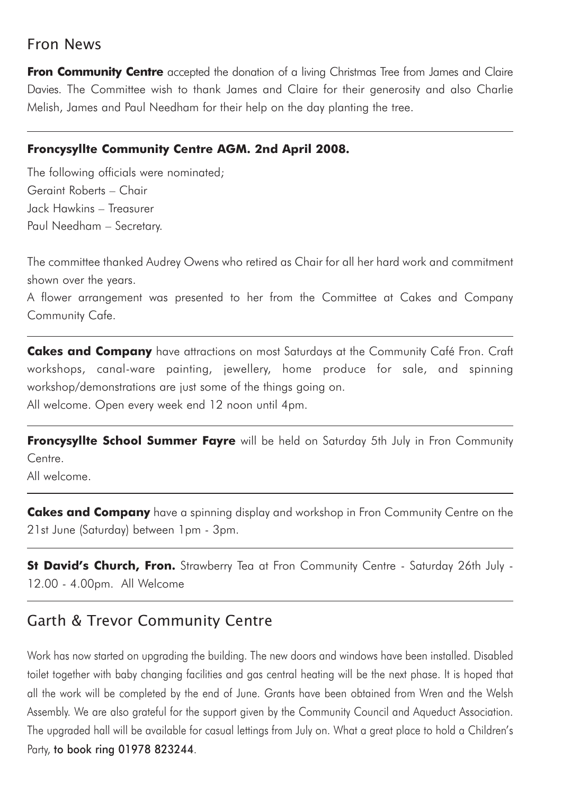## Fron News

**Fron Community Centre** accepted the donation of a living Christmas Tree from James and Claire Davies. The Committee wish to thank James and Claire for their generosity and also Charlie Melish, James and Paul Needham for their help on the day planting the tree.

### **Froncysyllte Community Centre AGM. 2nd April 2008.**

The following officials were nominated; Geraint Roberts – Chair Jack Hawkins – Treasurer Paul Needham – Secretary.

The committee thanked Audrey Owens who retired as Chair for all her hard work and commitment shown over the years.

A flower arrangement was presented to her from the Committee at Cakes and Company Community Cafe.

**Cakes and Company** have attractions on most Saturdays at the Community Café Fron. Craft workshops, canal-ware painting, jewellery, home produce for sale, and spinning workshop/demonstrations are just some of the things going on. All welcome. Open every week end 12 noon until 4pm.

**Froncysyllte School Summer Fayre** will be held on Saturday 5th July in Fron Community Centre.

All welcome.

**Cakes and Company** have a spinning display and workshop in Fron Community Centre on the 21st June (Saturday) between 1pm - 3pm.

**St David's Church, Fron.** Strawberry Tea at Fron Community Centre - Saturday 26th July - 12.00 - 4.00pm. All Welcome

## Garth & Trevor Community Centre

Work has now started on upgrading the building. The new doors and windows have been installed. Disabled toilet together with baby changing facilities and gas central heating will be the next phase. It is hoped that all the work will be completed by the end of June. Grants have been obtained from Wren and the Welsh Assembly. We are also grateful for the support given by the Community Council and Aqueduct Association. The upgraded hall will be available for casual lettings from July on. What a great place to hold a Children's Party, to book ring 01978 823244.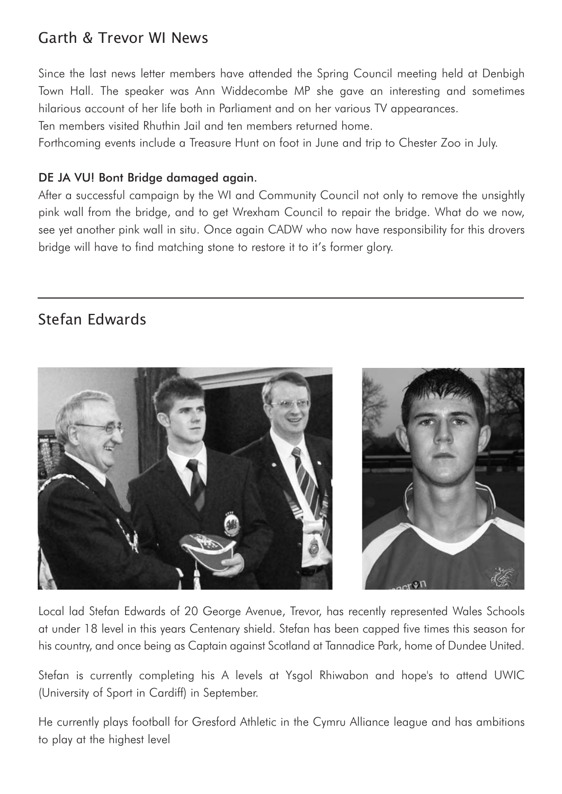# Garth & Trevor WI News

Since the last news letter members have attended the Spring Council meeting held at Denbigh Town Hall. The speaker was Ann Widdecombe MP she gave an interesting and sometimes hilarious account of her life both in Parliament and on her various TV appearances.

Ten members visited Rhuthin Jail and ten members returned home.

Forthcoming events include a Treasure Hunt on foot in June and trip to Chester Zoo in July.

### DE JA VU! Bont Bridge damaged again.

After a successful campaign by the WI and Community Council not only to remove the unsightly pink wall from the bridge, and to get Wrexham Council to repair the bridge. What do we now, see yet another pink wall in situ. Once again CADW who now have responsibility for this drovers bridge will have to find matching stone to restore it to it's former glory.

## Stefan Edwards



Local lad Stefan Edwards of 20 George Avenue, Trevor, has recently represented Wales Schools at under 18 level in this years Centenary shield. Stefan has been capped five times this season for his country, and once being as Captain against Scotland at Tannadice Park, home of Dundee United.

Stefan is currently completing his A levels at Ysgol Rhiwabon and hope's to attend UWIC (University of Sport in Cardiff) in September.

He currently plays football for Gresford Athletic in the Cymru Alliance league and has ambitions to play at the highest level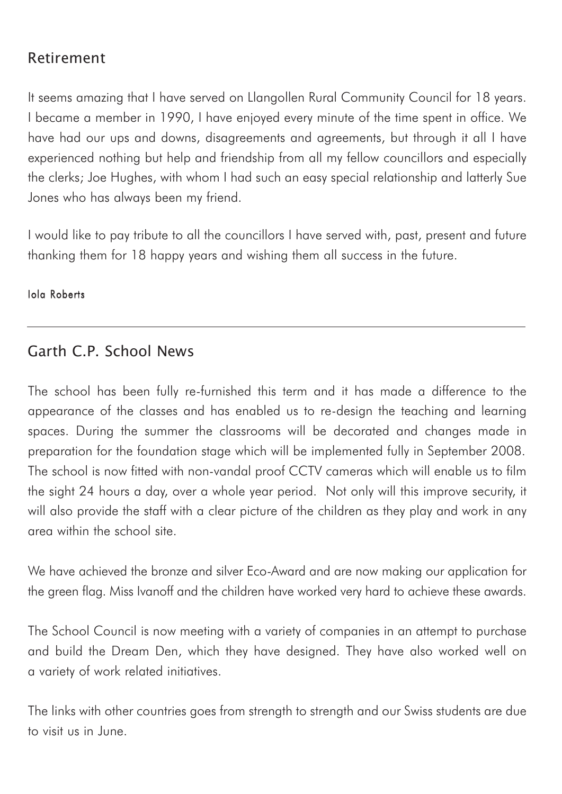## Retirement

It seems amazing that I have served on Llangollen Rural Community Council for 18 years. I became a member in 1990, I have enjoyed every minute of the time spent in office. We have had our ups and downs, disagreements and agreements, but through it all I have experienced nothing but help and friendship from all my fellow councillors and especially the clerks; Joe Hughes, with whom I had such an easy special relationship and latterly Sue Jones who has always been my friend.

I would like to pay tribute to all the councillors I have served with, past, present and future thanking them for 18 happy years and wishing them all success in the future.

### Iola Roberts

## Garth C.P. School News

The school has been fully re-furnished this term and it has made a difference to the appearance of the classes and has enabled us to re-design the teaching and learning spaces. During the summer the classrooms will be decorated and changes made in preparation for the foundation stage which will be implemented fully in September 2008. The school is now fitted with non-vandal proof CCTV cameras which will enable us to film the sight 24 hours a day, over a whole year period. Not only will this improve security, it will also provide the staff with a clear picture of the children as they play and work in any area within the school site.

We have achieved the bronze and silver Eco-Award and are now making our application for the green flag. Miss Ivanoff and the children have worked very hard to achieve these awards.

The School Council is now meeting with a variety of companies in an attempt to purchase and build the Dream Den, which they have designed. They have also worked well on a variety of work related initiatives.

The links with other countries goes from strength to strength and our Swiss students are due to visit us in June.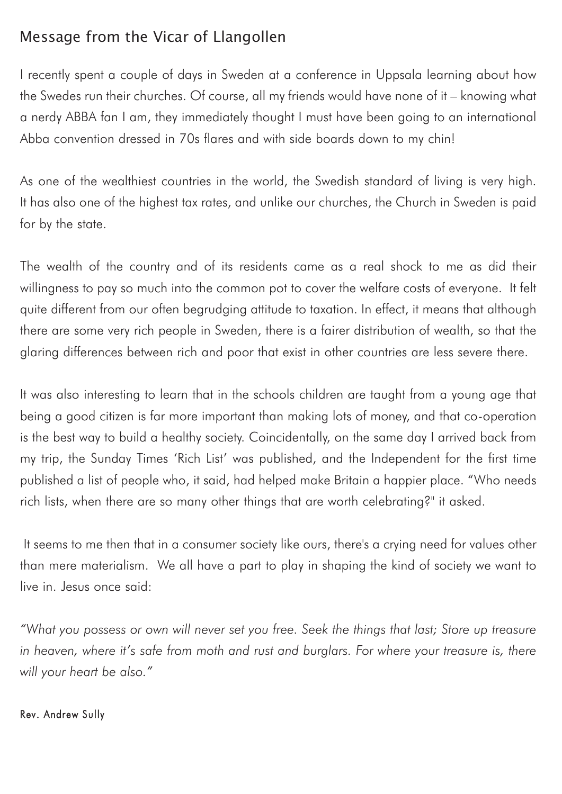# Message from the Vicar of Llangollen

I recently spent a couple of days in Sweden at a conference in Uppsala learning about how the Swedes run their churches. Of course, all my friends would have none of it – knowing what a nerdy ABBA fan I am, they immediately thought I must have been going to an international Abba convention dressed in 70s flares and with side boards down to my chin!

As one of the wealthiest countries in the world, the Swedish standard of living is very high. It has also one of the highest tax rates, and unlike our churches, the Church in Sweden is paid for by the state.

The wealth of the country and of its residents came as a real shock to me as did their willingness to pay so much into the common pot to cover the welfare costs of everyone. It felt quite different from our often begrudging attitude to taxation. In effect, it means that although there are some very rich people in Sweden, there is a fairer distribution of wealth, so that the glaring differences between rich and poor that exist in other countries are less severe there.

It was also interesting to learn that in the schools children are taught from a young age that being a good citizen is far more important than making lots of money, and that co-operation is the best way to build a healthy society. Coincidentally, on the same day I arrived back from my trip, the Sunday Times 'Rich List' was published, and the Independent for the first time published a list of people who, it said, had helped make Britain a happier place. "Who needs rich lists, when there are so many other things that are worth celebrating?" it asked.

It seems to me then that in a consumer society like ours, there's a crying need for values other than mere materialism. We all have a part to play in shaping the kind of society we want to live in. Jesus once said:

*"What you possess or own will never set you free. Seek the things that last; Store up treasure in heaven, where it's safe from moth and rust and burglars. For where your treasure is, there will your heart be also."*

### Rev. Andrew Sully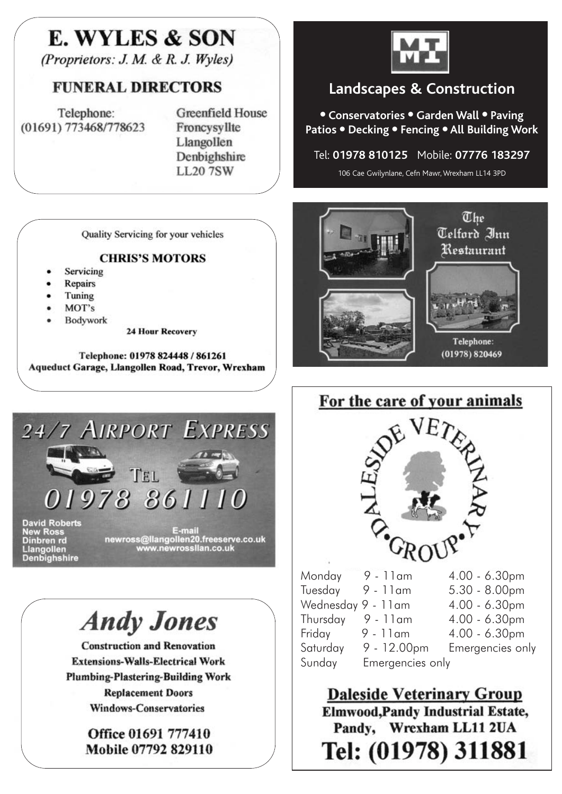# E. WYLES & SON

(Proprietors: J. M. & R. J. Wyles)

## FUNERAL DIRECTORS

Telephone: (01691) 773468/778623 **Greenfield House** Froncysvllte Llangollen Denbighshire **LL207SW** 

Quality Servicing for your vehicles

#### **CHRIS'S MOTORS**

- Servicing
- Repairs
- Tuning
- MOT's
- Bodywork

**24 Hour Recovery** 

Telephone: 01978 824448 / 861261 Aqueduct Garage, Llangollen Road, Trevor, Wrexham



# **Andy Jones**

**Construction and Renovation Extensions-Walls-Electrical Work Plumbing-Plastering-Building Work Replacement Doors Windows-Conservatories** 

> Office 01691 777410 Mobile 07792 829110



# **Landscapes & Construction**

● **Conservatories** ● **Garden Wall** ● **Paving Patios** ● **Decking** ● **Fencing** ● **All Building Work**

### Tel: **01978 810125** Mobile: **07776 183297**

106 Cae Gwilynlane, Cefn Mawr, Wrexham LL14 3PD





**Daleside Veterinary Group Elmwood, Pandy Industrial Estate,** Pandy, Wrexham LL11 2UA Tel: (01978) 311881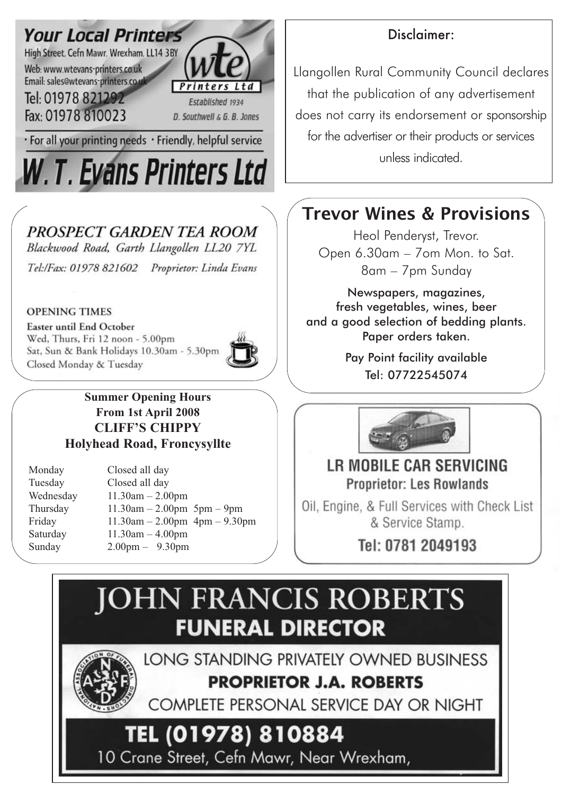

# PROSPECT GARDEN TEA ROOM

Blackwood Road, Garth Llangollen LL20 7YL Tel:/Fax: 01978 821602 Proprietor: Linda Evans

### **OPENING TIMES**

Easter until End October Wed, Thurs, Fri 12 noon - 5.00pm Sat, Sun & Bank Holidays 10.30am - 5.30pm Closed Monday & Tuesday



**Summer Opening Hours From 1st April 2008 CLIFF'S CHIPPY Holyhead Road, Froncysyllte**

| Monday    | Closed all day                            |
|-----------|-------------------------------------------|
| Tuesday   | Closed all day                            |
| Wednesday | $11.30am - 2.00pm$                        |
| Thursday  | $11.30am - 2.00pm 5pm - 9pm$              |
| Friday    | $11.30$ am $- 2.00$ pm $4$ pm $- 9.30$ pm |
| Saturday  | $11.30am - 4.00pm$                        |
| Sunday    | $2.00 \text{pm} - 9.30 \text{pm}$         |

## Disclaimer:

Llangollen Rural Community Council declares that the publication of any advertisement does not carry its endorsement or sponsorship for the advertiser or their products or services unless indicated.

# **Trevor Wines & Provisions**

Heol Penderyst, Trevor. Open 6.30am – 7om Mon. to Sat. 8am – 7pm Sunday

Newspapers, magazines, fresh vegetables, wines, beer and a good selection of bedding plants. Paper orders taken.

> Pay Point facility available Tel: 07722545074



# LB MOBILE CAR SERVICING **Proprietor: Les Rowlands**

Oil, Engine, & Full Services with Check List & Service Stamp.

Tel: 0781 2049193

# **JOHN FRANCIS ROBERTS FUNERAL DIRECTOR**

LONG STANDING PRIVATELY OWNED BUSINESS **PROPRIETOR J.A. ROBERTS** 

COMPLETE PERSONAL SERVICE DAY OR NIGHT

# TEL (01978) 810884

10 Crane Street, Cefn Mawr, Near Wrexham,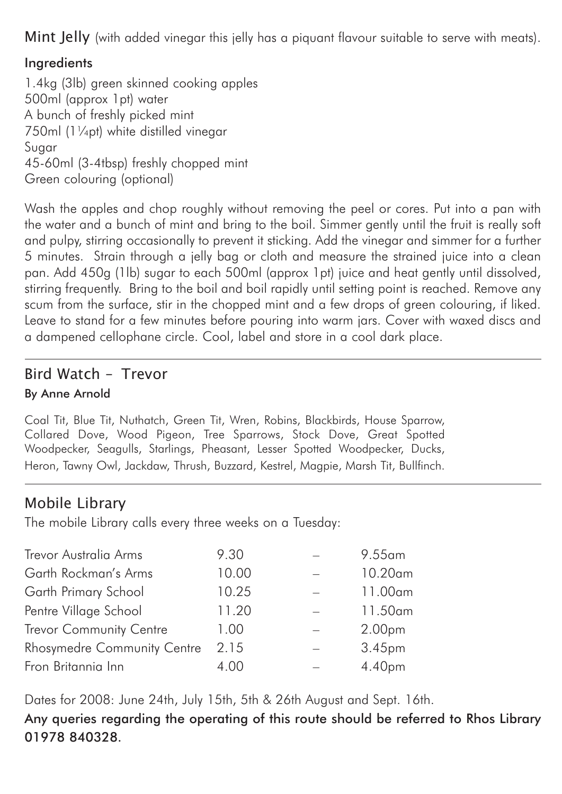Mint Jelly (with added vinegar this jelly has a piquant flavour suitable to serve with meats).

## Ingredients

1.4kg (3lb) green skinned cooking apples 500ml (approx 1pt) water A bunch of freshly picked mint 750ml (11/<sub>4</sub>pt) white distilled vinegar Sugar 45-60ml (3-4tbsp) freshly chopped mint Green colouring (optional)

Wash the apples and chop roughly without removing the peel or cores. Put into a pan with the water and a bunch of mint and bring to the boil. Simmer gently until the fruit is really soft and pulpy, stirring occasionally to prevent it sticking. Add the vinegar and simmer for a further 5 minutes. Strain through a jelly bag or cloth and measure the strained juice into a clean pan. Add 450g (1lb) sugar to each 500ml (approx 1pt) juice and heat gently until dissolved, stirring frequently. Bring to the boil and boil rapidly until setting point is reached. Remove any scum from the surface, stir in the chopped mint and a few drops of green colouring, if liked. Leave to stand for a few minutes before pouring into warm jars. Cover with waxed discs and a dampened cellophane circle. Cool, label and store in a cool dark place.

## Bird Watch – Trevor By Anne Arnold

Coal Tit, Blue Tit, Nuthatch, Green Tit, Wren, Robins, Blackbirds, House Sparrow, Collared Dove, Wood Pigeon, Tree Sparrows, Stock Dove, Great Spotted Woodpecker, Seagulls, Starlings, Pheasant, Lesser Spotted Woodpecker, Ducks, Heron, Tawny Owl, Jackdaw, Thrush, Buzzard, Kestrel, Magpie, Marsh Tit, Bullfinch.

## Mobile Library

The mobile Library calls every three weeks on a Tuesday:

| Trevor Australia Arms          | 9.30  | $9.55$ am          |
|--------------------------------|-------|--------------------|
| Garth Rockman's Arms           | 10.00 | $10.20$ am         |
| Garth Primary School           | 10.25 | 11.00am            |
| Pentre Village School          | 11.20 | 11.50am            |
| <b>Trevor Community Centre</b> | 1.00  | 2.00 <sub>pm</sub> |
| Rhosymedre Community Centre    | 2.15  | 3.45pm             |
| Fron Britannia Inn             | 4.00  | 4.40pm             |

Dates for 2008: June 24th, July 15th, 5th & 26th August and Sept. 16th.

Any queries regarding the operating of this route should be referred to Rhos Library 01978 840328.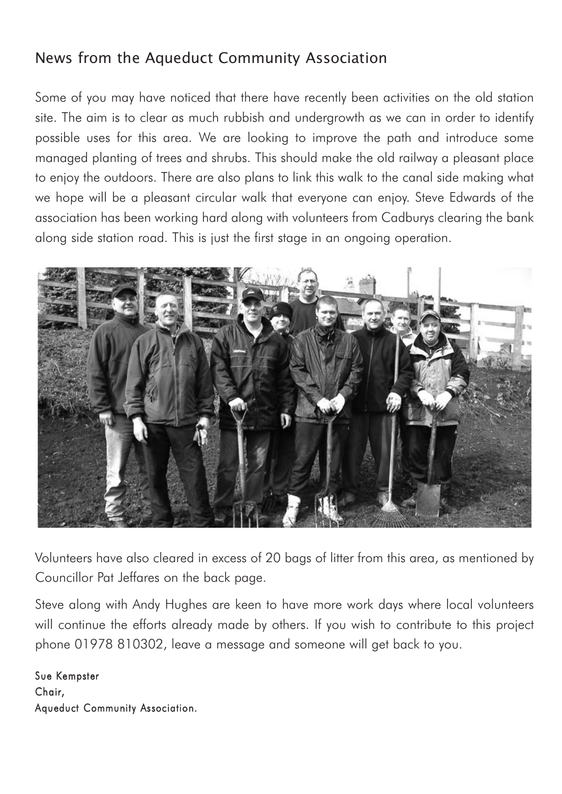# News from the Aqueduct Community Association

Some of you may have noticed that there have recently been activities on the old station site. The aim is to clear as much rubbish and undergrowth as we can in order to identify possible uses for this area. We are looking to improve the path and introduce some managed planting of trees and shrubs. This should make the old railway a pleasant place to enjoy the outdoors. There are also plans to link this walk to the canal side making what we hope will be a pleasant circular walk that everyone can enjoy. Steve Edwards of the association has been working hard along with volunteers from Cadburys clearing the bank along side station road. This is just the first stage in an ongoing operation.



Volunteers have also cleared in excess of 20 bags of litter from this area, as mentioned by Councillor Pat Jeffares on the back page.

Steve along with Andy Hughes are keen to have more work days where local volunteers will continue the efforts already made by others. If you wish to contribute to this project phone 01978 810302, leave a message and someone will get back to you.

Sue Kempster Chair, Aqueduct Community Association.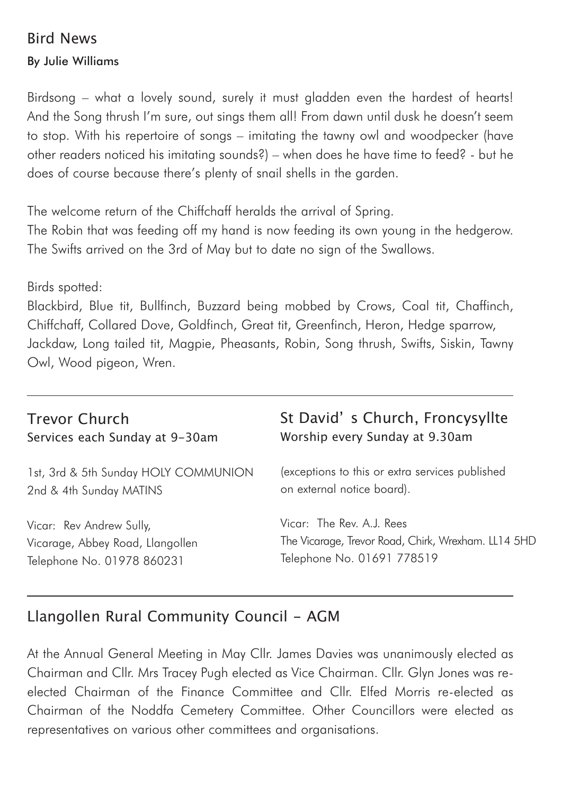## Bird News

By Julie Williams

Birdsong – what a lovely sound, surely it must gladden even the hardest of hearts! And the Song thrush I'm sure, out sings them all! From dawn until dusk he doesn't seem to stop. With his repertoire of songs – imitating the tawny owl and woodpecker (have other readers noticed his imitating sounds?) – when does he have time to feed? - but he does of course because there's plenty of snail shells in the garden.

The welcome return of the Chiffchaff heralds the arrival of Spring.

The Robin that was feeding off my hand is now feeding its own young in the hedgerow. The Swifts arrived on the 3rd of May but to date no sign of the Swallows.

### Birds spotted:

Blackbird, Blue tit, Bullfinch, Buzzard being mobbed by Crows, Coal tit, Chaffinch, Chiffchaff, Collared Dove, Goldfinch, Great tit, Greenfinch, Heron, Hedge sparrow, Jackdaw, Long tailed tit, Magpie, Pheasants, Robin, Song thrush, Swifts, Siskin, Tawny Owl, Wood pigeon, Wren.

## Trevor Church Services each Sunday at 9-30am

1st, 3rd & 5th Sunday HOLY COMMUNION 2nd & 4th Sunday MATINS

Vicar: Rev Andrew Sully, Vicarage, Abbey Road, Llangollen Telephone No. 01978 860231

## St David' s Church, Froncysyllte Worship every Sunday at 9.30am

(exceptions to this or extra services published on external notice board).

Vicar: The Rev. A.J. Rees The Vicarage, Trevor Road, Chirk, Wrexham. LL14 5HD Telephone No. 01691 778519

## Llangollen Rural Community Council - AGM

At the Annual General Meeting in May Cllr. James Davies was unanimously elected as Chairman and Cllr. Mrs Tracey Pugh elected as Vice Chairman. Cllr. Glyn Jones was reelected Chairman of the Finance Committee and Cllr. Elfed Morris re-elected as Chairman of the Noddfa Cemetery Committee. Other Councillors were elected as representatives on various other committees and organisations.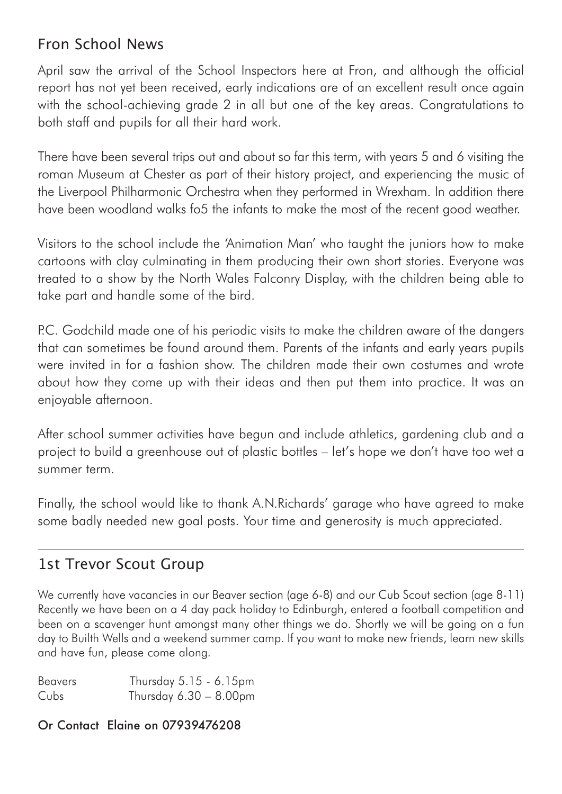# Fron School News

April saw the arrival of the School Inspectors here at Fron, and although the official report has not yet been received, early indications are of an excellent result once again with the school-achieving grade 2 in all but one of the key areas. Congratulations to both staff and pupils for all their hard work.

There have been several trips out and about so far this term, with years 5 and 6 visiting the roman Museum at Chester as part of their history project, and experiencing the music of the Liverpool Philharmonic Orchestra when they performed in Wrexham. In addition there have been woodland walks fo5 the infants to make the most of the recent good weather.

Visitors to the school include the 'Animation Man' who taught the juniors how to make cartoons with clay culminating in them producing their own short stories. Everyone was treated to a show by the North Wales Falconry Display, with the children being able to take part and handle some of the bird.

P.C. Godchild made one of his periodic visits to make the children aware of the dangers that can sometimes be found around them. Parents of the infants and early years pupils were invited in for a fashion show. The children made their own costumes and wrote about how they come up with their ideas and then put them into practice. It was an enjoyable afternoon.

After school summer activities have begun and include athletics, gardening club and a project to build a greenhouse out of plastic bottles – let's hope we don't have too wet a summer term.

Finally, the school would like to thank A.N.Richards' garage who have agreed to make some badly needed new goal posts. Your time and generosity is much appreciated.

## 1st Trevor Scout Group

We currently have vacancies in our Beaver section (age 6-8) and our Cub Scout section (age 8-11) Recently we have been on a 4 day pack holiday to Edinburgh, entered a football competition and been on a scavenger hunt amongst many other things we do. Shortly we will be going on a fun day to Builth Wells and a weekend summer camp. If you want to make new friends, learn new skills and have fun, please come along.

| <b>Beavers</b> | Thursday 5.15 - 6.15pm    |  |
|----------------|---------------------------|--|
| Cubs           | Thursday $6.30 - 8.00$ pm |  |

### Or Contact Elaine on 07939476208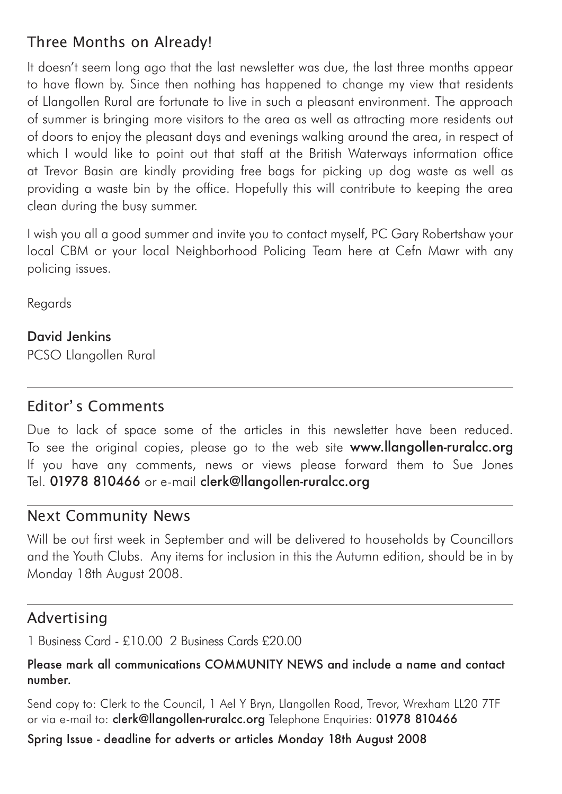# Three Months on Already!

It doesn't seem long ago that the last newsletter was due, the last three months appear to have flown by. Since then nothing has happened to change my view that residents of Llangollen Rural are fortunate to live in such a pleasant environment. The approach of summer is bringing more visitors to the area as well as attracting more residents out of doors to enjoy the pleasant days and evenings walking around the area, in respect of which I would like to point out that staff at the British Waterways information office at Trevor Basin are kindly providing free bags for picking up dog waste as well as providing a waste bin by the office. Hopefully this will contribute to keeping the area clean during the busy summer.

I wish you all a good summer and invite you to contact myself, PC Gary Robertshaw your local CBM or your local Neighborhood Policing Team here at Cefn Mawr with any policing issues.

Regards

### David Jenkins PCSO Llangollen Rural

## Editor' s Comments

Due to lack of space some of the articles in this newsletter have been reduced. To see the original copies, please go to the web site www.llangollen-ruralcc.org If you have any comments, news or views please forward them to Sue Jones Tel. 01978 810466 or e-mail clerk@llangollen-ruralcc.org

## Next Community News

Will be out first week in September and will be delivered to households by Councillors and the Youth Clubs. Any items for inclusion in this the Autumn edition, should be in by Monday 18th August 2008.

## Advertising

1 Business Card - £10.00 2 Business Cards £20.00

### Please mark all communications COMMUNITY NEWS and include a name and contact number.

Send copy to: Clerk to the Council, 1 Ael Y Bryn, Llangollen Road, Trevor, Wrexham LL20 7TF or via e-mail to: clerk@llangollen-ruralcc.org Telephone Enquiries: 01978 810466

## Spring Issue - deadline for adverts or articles Monday 18th August 2008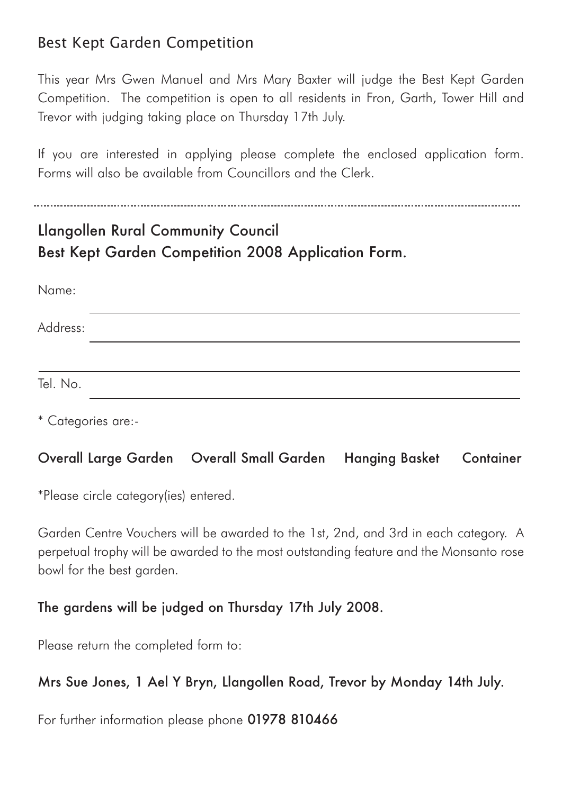## Best Kept Garden Competition

This year Mrs Gwen Manuel and Mrs Mary Baxter will judge the Best Kept Garden Competition. The competition is open to all residents in Fron, Garth, Tower Hill and Trevor with judging taking place on Thursday 17th July.

If you are interested in applying please complete the enclosed application form. Forms will also be available from Councillors and the Clerk.

# Llangollen Rural Community Council Best Kept Garden Competition 2008 Application Form.

| Name:    |  |
|----------|--|
| Address: |  |
|          |  |
| Tel. No. |  |

\* Categories are:-

## Overall Large Garden Overall Small Garden Hanging Basket Container

\*Please circle category(ies) entered.

Garden Centre Vouchers will be awarded to the 1st, 2nd, and 3rd in each category. A perpetual trophy will be awarded to the most outstanding feature and the Monsanto rose bowl for the best garden.

## The gardens will be judged on Thursday 17th July 2008.

Please return the completed form to:

## Mrs Sue Jones, 1 Ael Y Bryn, Llangollen Road, Trevor by Monday 14th July.

For further information please phone 01978 810466